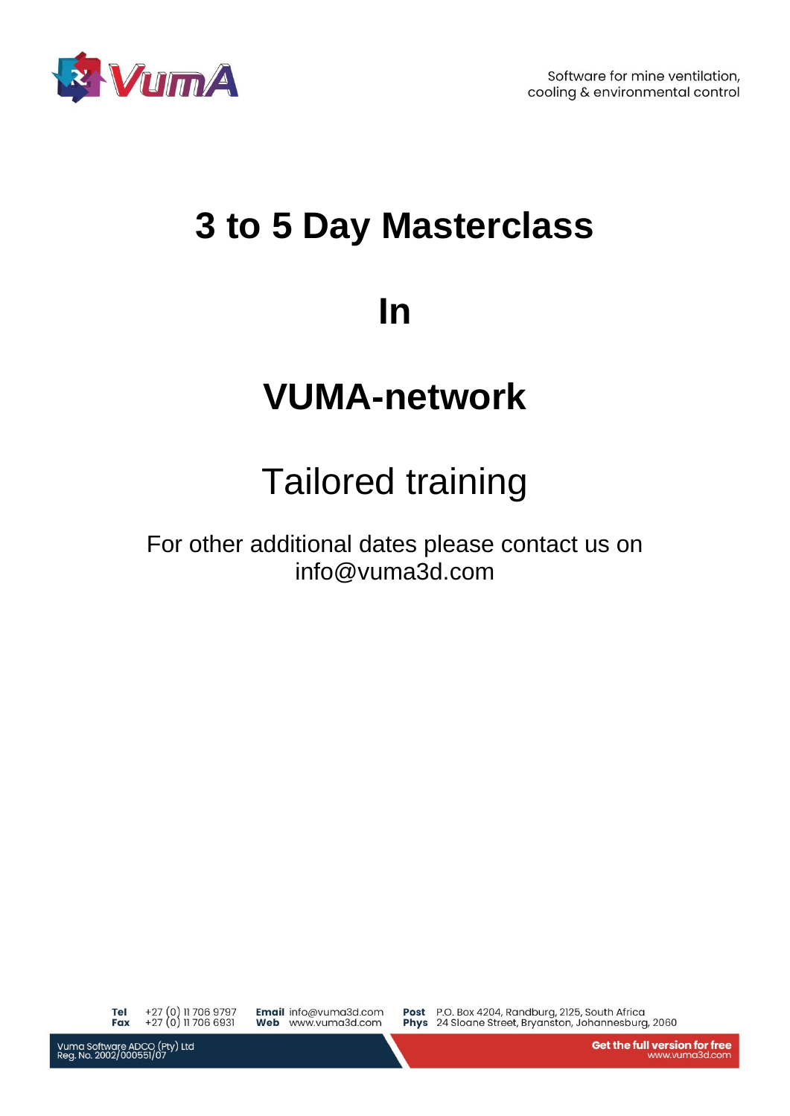

# **3 to 5 Day Masterclass**

### **In**

## **VUMA-network**

# Tailored training

For other additional dates please contact us on info@vuma3d.com

+27 (0) 11 706 9797<br>+27 (0) 11 706 6931 Tel Fax

Email info@vuma3d.com Web www.vuma3d.com

Post P.O. Box 4204, Randburg, 2125, South Africa Phys 24 Sloane Street, Bryanston, Johannesburg, 2060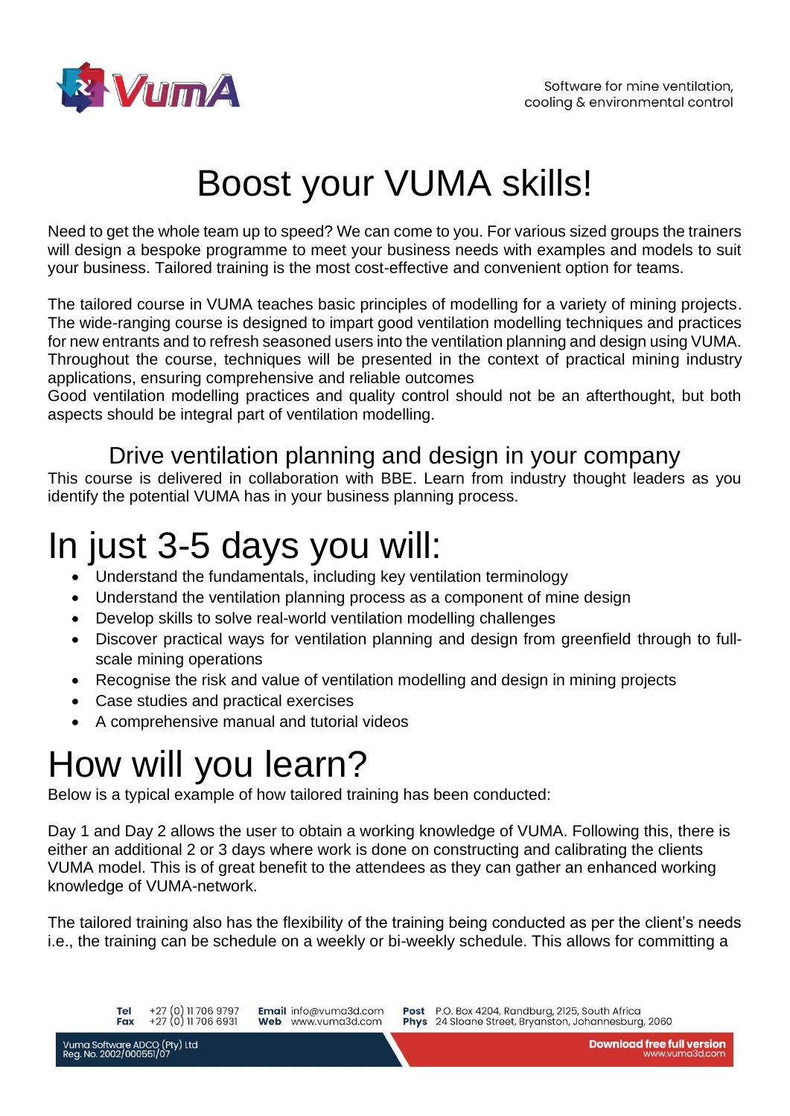

# Boost your VUMA skills!

Need to get the whole team up to speed? We can come to you. For various sized groups the trainers will design a bespoke programme to meet your business needs with examples and models to suit your business. Tailored training is the most cost-effective and convenient option for teams.

The tailored course in VUMA teaches basic principles of modelling for a variety of mining projects. The wide-ranging course is designed to impart good ventilation modelling techniques and practices for new entrants and to refresh seasoned users into the ventilation planning and design using VUMA. Throughout the course, techniques will be presented in the context of practical mining industry applications, ensuring comprehensive and reliable outcomes

Good ventilation modelling practices and quality control should not be an afterthought, but both aspects should be integral part of ventilation modelling.

#### Drive ventilation planning and design in your company

This course is delivered in collaboration with BBE. Learn from industry thought leaders as you identify the potential VUMA has in your business planning process.

### In just 3-5 days you will:

- Understand the fundamentals, including key ventilation terminology
- Understand the ventilation planning process as a component of mine design
- Develop skills to solve real-world ventilation modelling challenges
- Discover practical ways for ventilation planning and design from greenfield through to fullscale mining operations
- Recognise the risk and value of ventilation modelling and design in mining projects
- Case studies and practical exercises
- A comprehensive manual and tutorial videos

### How will you learn?

Below is a typical example of how tailored training has been conducted:

Day 1 and Day 2 allows the user to obtain a working knowledge of VUMA. Following this, there is either an additional 2 or 3 days where work is done on constructing and calibrating the clients VUMA model. This is of great benefit to the attendees as they can gather an enhanced working knowledge of VUMA-network.

The tailored training also has the flexibility of the training being conducted as per the client's needs i.e., the training can be schedule on a weekly or bi-weekly schedule. This allows for committing a

Email info@vuma3d.com Web www.vuma3d.com

Post P.O. Box 4204, Randburg, 2125, South Africa Phys 24 Sloane Street, Bryanston, Johannesburg, 2060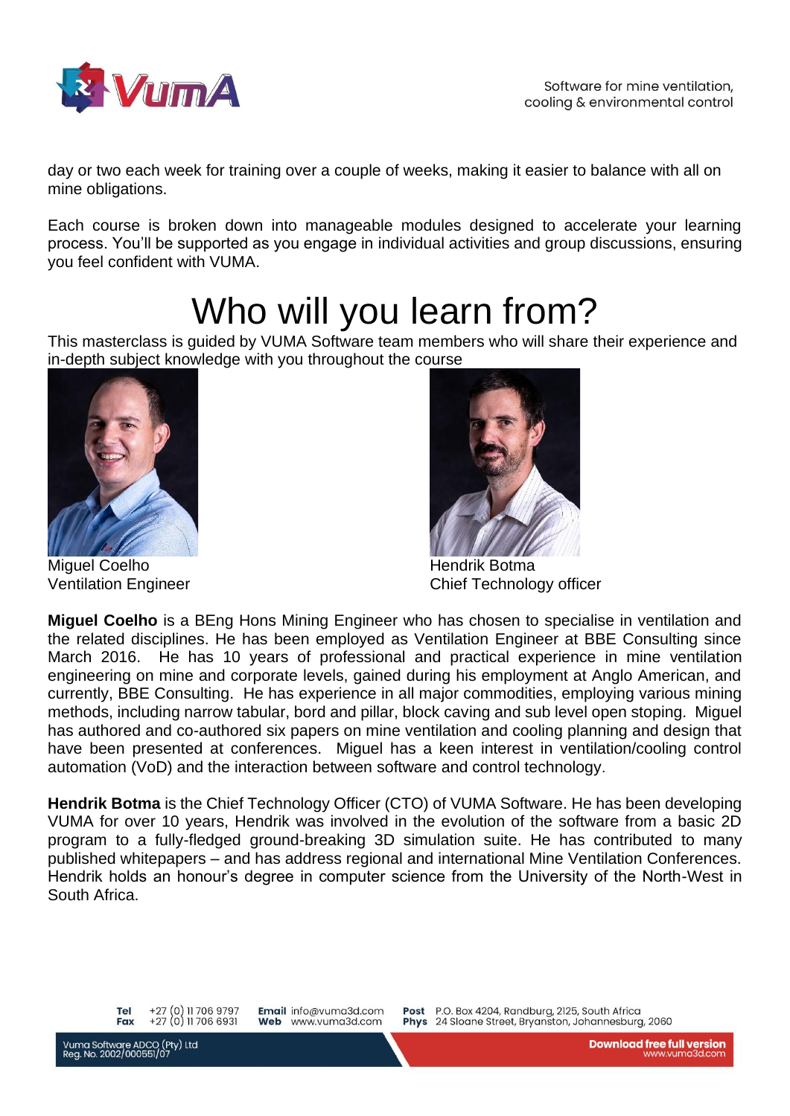

day or two each week for training over a couple of weeks, making it easier to balance with all on mine obligations.

Each course is broken down into manageable modules designed to accelerate your learning process. You'll be supported as you engage in individual activities and group discussions, ensuring you feel confident with VUMA.

## Who will you learn from?

This masterclass is guided by VUMA Software team members who will share their experience and in-depth subject knowledge with you throughout the course



Miguel Coelho **Hendrik Botma** 



Ventilation Engineer Chief Technology officer

**Miguel Coelho** is a BEng Hons Mining Engineer who has chosen to specialise in ventilation and the related disciplines. He has been employed as Ventilation Engineer at BBE Consulting since March 2016. He has 10 years of professional and practical experience in mine ventilation engineering on mine and corporate levels, gained during his employment at Anglo American, and currently, BBE Consulting. He has experience in all major commodities, employing various mining methods, including narrow tabular, bord and pillar, block caving and sub level open stoping. Miguel has authored and co-authored six papers on mine ventilation and cooling planning and design that have been presented at conferences. Miguel has a keen interest in ventilation/cooling control automation (VoD) and the interaction between software and control technology.

**Hendrik Botma** is the Chief Technology Officer (CTO) of VUMA Software. He has been developing VUMA for over 10 years, Hendrik was involved in the evolution of the software from a basic 2D program to a fully-fledged ground-breaking 3D simulation suite. He has contributed to many published whitepapers – and has address regional and international Mine Ventilation Conferences. Hendrik holds an honour's degree in computer science from the University of the North-West in South Africa.

+27 (0) 11 706 9797 **Tel** +27 (0) 11 706 6931 Fax

Email info@vuma3d.com Web www.vuma3d.com

Post

P.O. Box 4204, Randburg, 2125, South Africa Phys 24 Sloane Street, Bryanston, Johannesburg, 2060